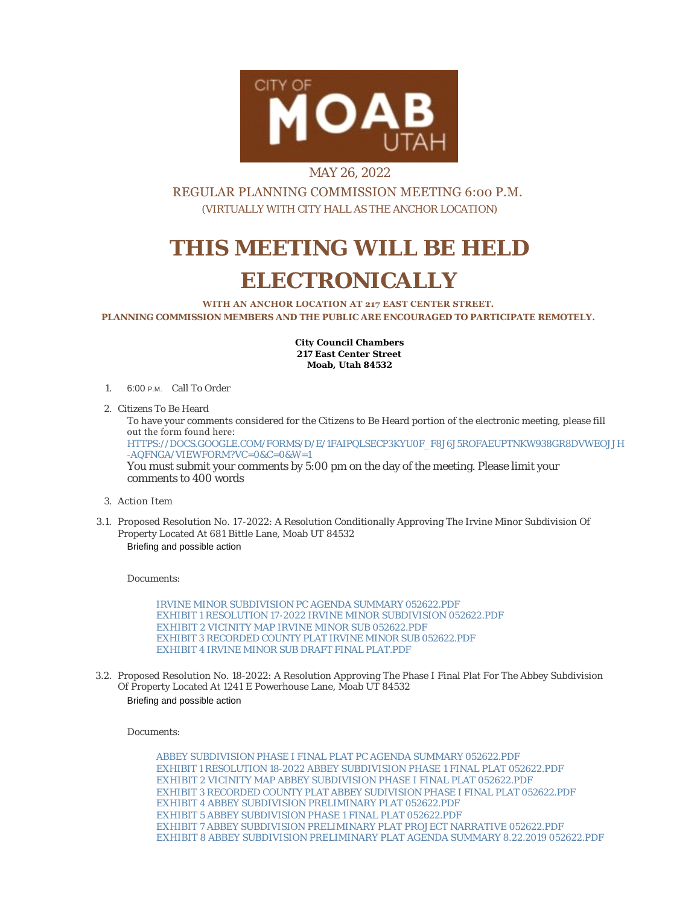

## MAY 26, 2022

REGULAR PLANNING COMMISSION MEETING 6:00 P.M. (VIRTUALLY WITH CITY HALL AS THE ANCHOR LOCATION)

## **THIS MEETING WILL BE HELD ELECTRONICALLY**

**WITH AN ANCHOR LOCATION AT 217 EAST CENTER STREET. PLANNING COMMISSION MEMBERS AND THE PUBLIC ARE ENCOURAGED TO PARTICIPATE REMOTELY.**

> **City Council Chambers 217 East Center Street Moab, Utah 84532**

1. 6:00 P.M. Call To Order

2. Citizens To Be Heard

To have your comments considered for the Citizens to Be Heard portion of the electronic meeting, please fill out the form found here: [HTTPS://DOCS.GOOGLE.COM/FORMS/D/E/1FAIPQLSECP3KYU0F\\_F8J6J5ROFAEUPTNKW938GR8DVWEOJJH](https://docs.google.com/forms/d/e/1FAIpQLSecp3kyu0F_f8J6J5ROfaeUPtNkW938GR8dvweOJjH-aQfNgA/viewform?vc=0&c=0&w=1) -AQFNGA/VIEWFORM?VC=0&C=0&W=1 You must submit your comments by 5:00 pm on the day of the meeting. Please limit your comments to 400 words

- Action Item 3.
- 3.1. Proposed Resolution No. 17-2022: A Resolution Conditionally Approving The Irvine Minor Subdivision Of Property Located At 681 Bittle Lane, Moab UT 84532 Briefing and possible action

Documents:

[IRVINE MINOR SUBDIVISION PC AGENDA SUMMARY 052622.PDF](https://moabcity.org/AgendaCenter/ViewFile/Item/4930?fileID=5911) [EXHIBIT 1 RESOLUTION 17-2022 IRVINE MINOR SUBDIVISION 052622.PDF](https://moabcity.org/AgendaCenter/ViewFile/Item/4930?fileID=5912) [EXHIBIT 2 VICINITY MAP IRVINE MINOR SUB 052622.PDF](https://moabcity.org/AgendaCenter/ViewFile/Item/4930?fileID=5913) [EXHIBIT 3 RECORDED COUNTY PLAT IRVINE MINOR SUB 052622.PDF](https://moabcity.org/AgendaCenter/ViewFile/Item/4930?fileID=5914) [EXHIBIT 4 IRVINE MINOR SUB DRAFT FINAL PLAT.PDF](https://moabcity.org/AgendaCenter/ViewFile/Item/4930?fileID=5915)

3.2. Proposed Resolution No. 18-2022: A Resolution Approving The Phase I Final Plat For The Abbey Subdivision Of Property Located At 1241 E Powerhouse Lane, Moab UT 84532 Briefing and possible action

Documents:

[ABBEY SUBDIVISION PHASE I FINAL PLAT PC AGENDA SUMMARY 052622.PDF](https://moabcity.org/AgendaCenter/ViewFile/Item/4931?fileID=5916) [EXHIBIT 1 RESOLUTION 18-2022 ABBEY SUBDIVISION PHASE 1 FINAL PLAT](https://moabcity.org/AgendaCenter/ViewFile/Item/4931?fileID=5917) 052622.PDF [EXHIBIT 2 VICINITY MAP ABBEY SUBDIVISION PHASE I FINAL PLAT 052622.PDF](https://moabcity.org/AgendaCenter/ViewFile/Item/4931?fileID=5918) [EXHIBIT 3 RECORDED COUNTY PLAT ABBEY SUDIVISION PHASE I FINAL PLAT](https://moabcity.org/AgendaCenter/ViewFile/Item/4931?fileID=5919) 052622.PDF [EXHIBIT 4 ABBEY SUBDIVISION PRELIMINARY PLAT 052622.PDF](https://moabcity.org/AgendaCenter/ViewFile/Item/4931?fileID=5920) [EXHIBIT 5 ABBEY SUBDIVISION PHASE 1 FINAL PLAT 052622.PDF](https://moabcity.org/AgendaCenter/ViewFile/Item/4931?fileID=5921) [EXHIBIT 7 ABBEY SUBDIVISION PRELIMINARY PLAT PROJECT NARRATIVE](https://moabcity.org/AgendaCenter/ViewFile/Item/4931?fileID=5922) 052622.PDF [EXHIBIT 8 ABBEY SUBDIVISION PRELIMINARY PLAT AGENDA SUMMARY 8.22.2019](https://moabcity.org/AgendaCenter/ViewFile/Item/4931?fileID=5923) 052622.PDF